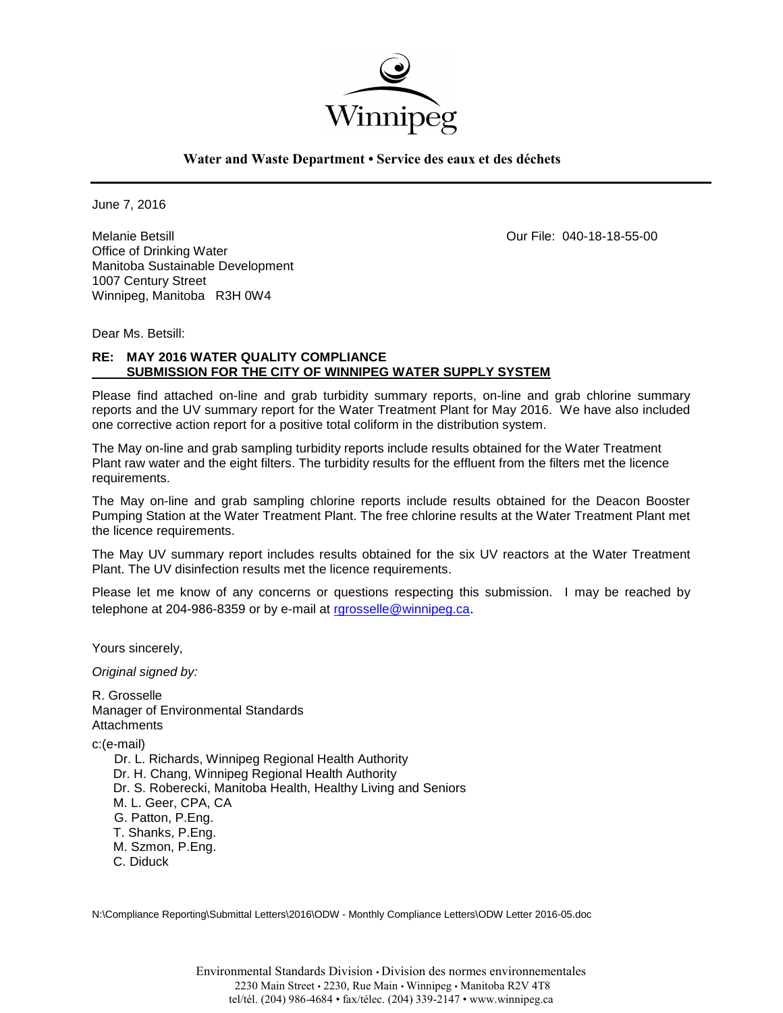

**Water and Waste Department • Service des eaux et des déchets**

June 7, 2016

Melanie Betsill Our File: 040-18-18-55-00 Office of Drinking Water Manitoba Sustainable Development 1007 Century Street Winnipeg, Manitoba R3H 0W4

Dear Ms. Betsill:

## **RE: MAY 2016 WATER QUALITY COMPLIANCE SUBMISSION FOR THE CITY OF WINNIPEG WATER SUPPLY SYSTEM**

Please find attached on-line and grab turbidity summary reports, on-line and grab chlorine summary reports and the UV summary report for the Water Treatment Plant for May 2016. We have also included one corrective action report for a positive total coliform in the distribution system.

The May on-line and grab sampling turbidity reports include results obtained for the Water Treatment Plant raw water and the eight filters. The turbidity results for the effluent from the filters met the licence requirements.

The May on-line and grab sampling chlorine reports include results obtained for the Deacon Booster Pumping Station at the Water Treatment Plant. The free chlorine results at the Water Treatment Plant met the licence requirements.

The May UV summary report includes results obtained for the six UV reactors at the Water Treatment Plant. The UV disinfection results met the licence requirements.

Please let me know of any concerns or questions respecting this submission. I may be reached by telephone at 204-986-8359 or by e-mail at [rgrosselle@winnipeg.ca](mailto:rgrosselle@winnipeg.ca).

Yours sincerely,

*Original signed by:*

R. Grosselle Manager of Environmental Standards **Attachments** 

c:(e-mail)

 Dr. L. Richards, Winnipeg Regional Health Authority Dr. H. Chang, Winnipeg Regional Health Authority Dr. S. Roberecki, Manitoba Health, Healthy Living and Seniors M. L. Geer, CPA, CA G. Patton, P.Eng. T. Shanks, P.Eng. M. Szmon, P.Eng. C. Diduck

N:\Compliance Reporting\Submittal Letters\2016\ODW - Monthly Compliance Letters\ODW Letter 2016-05.doc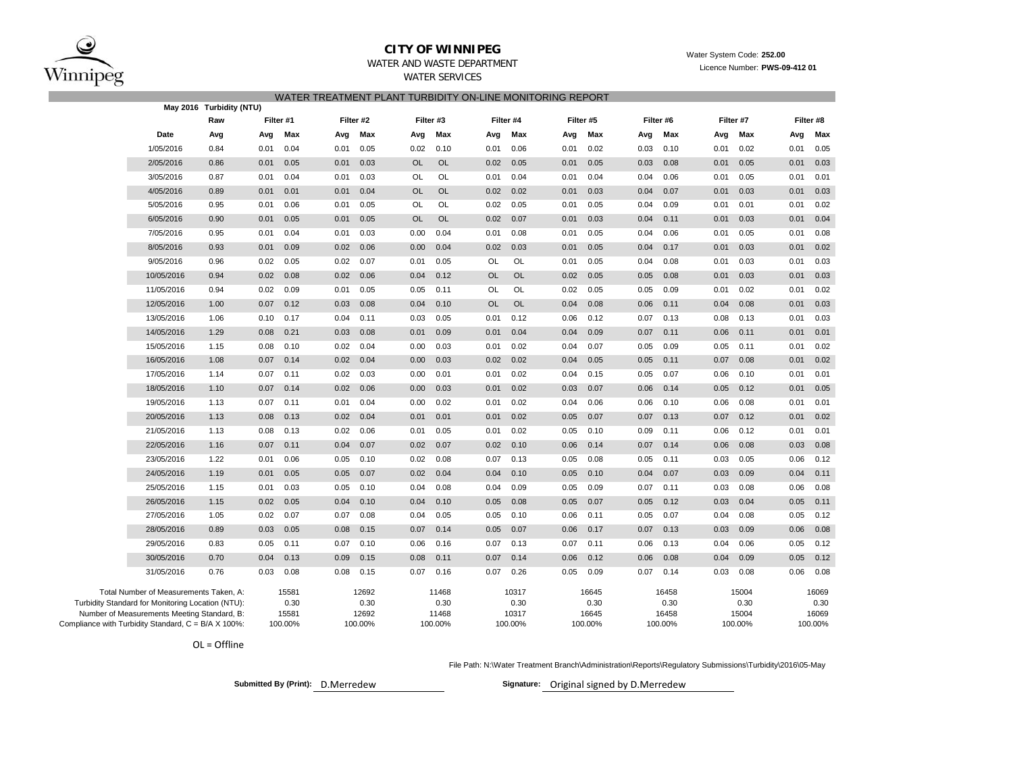

### **CITY OF WINNIPEG**WATER AND WASTE DEPARTMENT

Water System Code: **252.00**

Licence Number: **PWS-09-412 01**

| WATER SERVICES                                            |  |
|-----------------------------------------------------------|--|
| WATER TREATMENT PLANT TURBIDITY ON-LINE MONITORING REPORT |  |

|                                                     |                                                   | May 2016 Turbidity (NTU) |           |         |      |           |           |         |           |           |      |           |      |           |      |           |      |           |
|-----------------------------------------------------|---------------------------------------------------|--------------------------|-----------|---------|------|-----------|-----------|---------|-----------|-----------|------|-----------|------|-----------|------|-----------|------|-----------|
|                                                     |                                                   | Raw                      | Filter #1 |         |      | Filter #2 | Filter #3 |         |           | Filter #4 |      | Filter #5 |      | Filter #6 |      | Filter #7 |      | Filter #8 |
|                                                     | Date                                              | Avg                      | Avg       | Max     | Avg  | Max       | Avg       | Max     | Avg       | Max       | Avg  | Max       | Avg  | Max       | Avg  | Max       | Avg  | Max       |
|                                                     | 1/05/2016                                         | 0.84                     | 0.01      | 0.04    | 0.01 | 0.05      | 0.02      | 0.10    | 0.01      | 0.06      | 0.01 | 0.02      | 0.03 | 0.10      | 0.01 | 0.02      | 0.01 | 0.05      |
|                                                     | 2/05/2016                                         | 0.86                     | 0.01      | 0.05    | 0.01 | 0.03      | <b>OL</b> | OL      | 0.02      | 0.05      | 0.01 | 0.05      | 0.03 | 0.08      | 0.01 | 0.05      | 0.01 | 0.03      |
|                                                     | 3/05/2016                                         | 0.87                     | 0.01      | 0.04    | 0.01 | 0.03      | OL        | OL      | 0.01      | 0.04      | 0.01 | 0.04      | 0.04 | 0.06      | 0.01 | 0.05      | 0.01 | 0.01      |
|                                                     | 4/05/2016                                         | 0.89                     | 0.01      | 0.01    | 0.01 | 0.04      | <b>OL</b> | OL      | 0.02      | 0.02      | 0.01 | 0.03      | 0.04 | 0.07      | 0.01 | 0.03      | 0.01 | 0.03      |
|                                                     | 5/05/2016                                         | 0.95                     | 0.01      | 0.06    | 0.01 | 0.05      | OL        | OL      | 0.02      | 0.05      | 0.01 | 0.05      | 0.04 | 0.09      | 0.01 | 0.01      | 0.01 | 0.02      |
|                                                     | 6/05/2016                                         | 0.90                     | 0.01      | 0.05    | 0.01 | 0.05      | <b>OL</b> | OL      | 0.02      | 0.07      | 0.01 | 0.03      | 0.04 | 0.11      | 0.01 | 0.03      | 0.01 | 0.04      |
|                                                     | 7/05/2016                                         | 0.95                     | 0.01      | 0.04    | 0.01 | 0.03      | 0.00      | 0.04    | 0.01      | 0.08      | 0.01 | 0.05      | 0.04 | 0.06      | 0.01 | 0.05      | 0.01 | 0.08      |
|                                                     | 8/05/2016                                         | 0.93                     | 0.01      | 0.09    | 0.02 | 0.06      | 0.00      | 0.04    | 0.02      | 0.03      | 0.01 | 0.05      | 0.04 | 0.17      | 0.01 | 0.03      | 0.01 | 0.02      |
|                                                     | 9/05/2016                                         | 0.96                     | 0.02      | 0.05    | 0.02 | 0.07      | 0.01      | 0.05    | OL        | OL        | 0.01 | 0.05      | 0.04 | 0.08      | 0.01 | 0.03      | 0.01 | 0.03      |
|                                                     | 10/05/2016                                        | 0.94                     | 0.02      | 0.08    | 0.02 | 0.06      | 0.04      | 0.12    | <b>OL</b> | <b>OL</b> | 0.02 | 0.05      | 0.05 | 0.08      | 0.01 | 0.03      | 0.01 | 0.03      |
|                                                     | 11/05/2016                                        | 0.94                     | 0.02      | 0.09    | 0.01 | 0.05      | 0.05      | 0.11    | OL        | OL        | 0.02 | 0.05      | 0.05 | 0.09      | 0.01 | 0.02      | 0.01 | 0.02      |
|                                                     | 12/05/2016                                        | 1.00                     | 0.07      | 0.12    | 0.03 | 0.08      | 0.04      | 0.10    | <b>OL</b> | <b>OL</b> | 0.04 | 0.08      | 0.06 | 0.11      | 0.04 | 0.08      | 0.01 | 0.03      |
|                                                     | 13/05/2016                                        | 1.06                     | 0.10      | 0.17    | 0.04 | 0.11      | 0.03      | 0.05    | 0.01      | 0.12      | 0.06 | 0.12      | 0.07 | 0.13      | 0.08 | 0.13      | 0.01 | 0.03      |
|                                                     | 14/05/2016                                        | 1.29                     | 0.08      | 0.21    | 0.03 | 0.08      | 0.01      | 0.09    | 0.01      | 0.04      | 0.04 | 0.09      | 0.07 | 0.11      | 0.06 | 0.11      | 0.01 | 0.01      |
|                                                     | 15/05/2016                                        | 1.15                     | 0.08      | 0.10    | 0.02 | 0.04      | 0.00      | 0.03    | 0.01      | 0.02      | 0.04 | 0.07      | 0.05 | 0.09      | 0.05 | 0.11      | 0.01 | 0.02      |
|                                                     | 16/05/2016                                        | 1.08                     | 0.07      | 0.14    | 0.02 | 0.04      | 0.00      | 0.03    | 0.02      | 0.02      | 0.04 | 0.05      | 0.05 | 0.11      | 0.07 | 0.08      | 0.01 | 0.02      |
|                                                     | 17/05/2016                                        | 1.14                     | 0.07      | 0.11    | 0.02 | 0.03      | 0.00      | 0.01    | 0.01      | 0.02      | 0.04 | 0.15      | 0.05 | 0.07      | 0.06 | 0.10      | 0.01 | 0.01      |
|                                                     | 18/05/2016                                        | 1.10                     | 0.07      | 0.14    | 0.02 | 0.06      | 0.00      | 0.03    | 0.01      | 0.02      | 0.03 | 0.07      | 0.06 | 0.14      | 0.05 | 0.12      | 0.01 | 0.05      |
|                                                     | 19/05/2016                                        | 1.13                     | 0.07      | 0.11    | 0.01 | 0.04      | 0.00      | 0.02    | 0.01      | 0.02      | 0.04 | 0.06      | 0.06 | 0.10      | 0.06 | 0.08      | 0.01 | 0.01      |
|                                                     | 20/05/2016                                        | 1.13                     | 0.08      | 0.13    | 0.02 | 0.04      | 0.01      | 0.01    | 0.01      | 0.02      | 0.05 | 0.07      | 0.07 | 0.13      | 0.07 | 0.12      | 0.01 | 0.02      |
|                                                     | 21/05/2016                                        | 1.13                     | 0.08      | 0.13    | 0.02 | 0.06      | 0.01      | 0.05    | 0.01      | 0.02      | 0.05 | 0.10      | 0.09 | 0.11      | 0.06 | 0.12      | 0.01 | 0.01      |
|                                                     | 22/05/2016                                        | 1.16                     | 0.07      | 0.11    | 0.04 | 0.07      | 0.02      | 0.07    | 0.02      | 0.10      | 0.06 | 0.14      | 0.07 | 0.14      | 0.06 | 0.08      | 0.03 | 0.08      |
|                                                     | 23/05/2016                                        | 1.22                     | 0.01      | 0.06    | 0.05 | 0.10      | 0.02      | 0.08    | 0.07      | 0.13      | 0.05 | 0.08      | 0.05 | 0.11      | 0.03 | 0.05      | 0.06 | 0.12      |
|                                                     | 24/05/2016                                        | 1.19                     | 0.01      | 0.05    | 0.05 | 0.07      | 0.02      | 0.04    | 0.04      | 0.10      | 0.05 | 0.10      | 0.04 | 0.07      | 0.03 | 0.09      | 0.04 | 0.11      |
|                                                     | 25/05/2016                                        | 1.15                     | 0.01      | 0.03    | 0.05 | 0.10      | 0.04      | 0.08    | 0.04      | 0.09      | 0.05 | 0.09      | 0.07 | 0.11      | 0.03 | 0.08      | 0.06 | 0.08      |
|                                                     | 26/05/2016                                        | 1.15                     | 0.02      | 0.05    | 0.04 | 0.10      | 0.04      | 0.10    | 0.05      | 0.08      | 0.05 | 0.07      | 0.05 | 0.12      | 0.03 | 0.04      | 0.05 | 0.11      |
|                                                     | 27/05/2016                                        | 1.05                     | 0.02      | 0.07    | 0.07 | 0.08      | 0.04      | 0.05    | 0.05      | 0.10      | 0.06 | 0.11      | 0.05 | 0.07      | 0.04 | 0.08      | 0.05 | 0.12      |
|                                                     | 28/05/2016                                        | 0.89                     | 0.03      | 0.05    | 0.08 | 0.15      | 0.07      | 0.14    | 0.05      | 0.07      | 0.06 | 0.17      | 0.07 | 0.13      | 0.03 | 0.09      | 0.06 | 0.08      |
|                                                     | 29/05/2016                                        | 0.83                     | 0.05      | 0.11    | 0.07 | 0.10      | 0.06      | 0.16    | 0.07      | 0.13      | 0.07 | 0.11      | 0.06 | 0.13      | 0.04 | 0.06      | 0.05 | 0.12      |
|                                                     | 30/05/2016                                        | 0.70                     | 0.04      | 0.13    | 0.09 | 0.15      | 0.08      | 0.11    | 0.07      | 0.14      | 0.06 | 0.12      | 0.06 | 0.08      | 0.04 | 0.09      | 0.05 | 0.12      |
|                                                     | 31/05/2016                                        | 0.76                     | 0.03      | 0.08    | 0.08 | 0.15      | 0.07      | 0.16    | 0.07      | 0.26      | 0.05 | 0.09      | 0.07 | 0.14      | 0.03 | 0.08      | 0.06 | 0.08      |
|                                                     | Total Number of Measurements Taken, A:            |                          |           | 15581   |      | 12692     |           | 11468   |           | 10317     |      | 16645     |      | 16458     |      | 15004     |      | 16069     |
|                                                     | Turbidity Standard for Monitoring Location (NTU): |                          |           | 0.30    |      | 0.30      |           | 0.30    |           | 0.30      |      | 0.30      |      | 0.30      |      | 0.30      |      | 0.30      |
|                                                     | Number of Measurements Meeting Standard, B:       |                          |           | 15581   |      | 12692     |           | 11468   |           | 10317     |      | 16645     |      | 16458     |      | 15004     |      | 16069     |
| Compliance with Turbidity Standard, C = B/A X 100%: |                                                   |                          |           | 100.00% |      | 100.00%   |           | 100.00% |           | 100.00%   |      | 100.00%   |      | 100.00%   |      | 100.00%   |      | 100.00%   |

OL <sup>=</sup> Offline

File Path: N:\Water Treatment Branch\Administration\Reports\Regulatory Submissions\Turbidity\2016\05-May

**Submitted By (Print): D.Merredew** 

Signature: Original signed by D.Merredew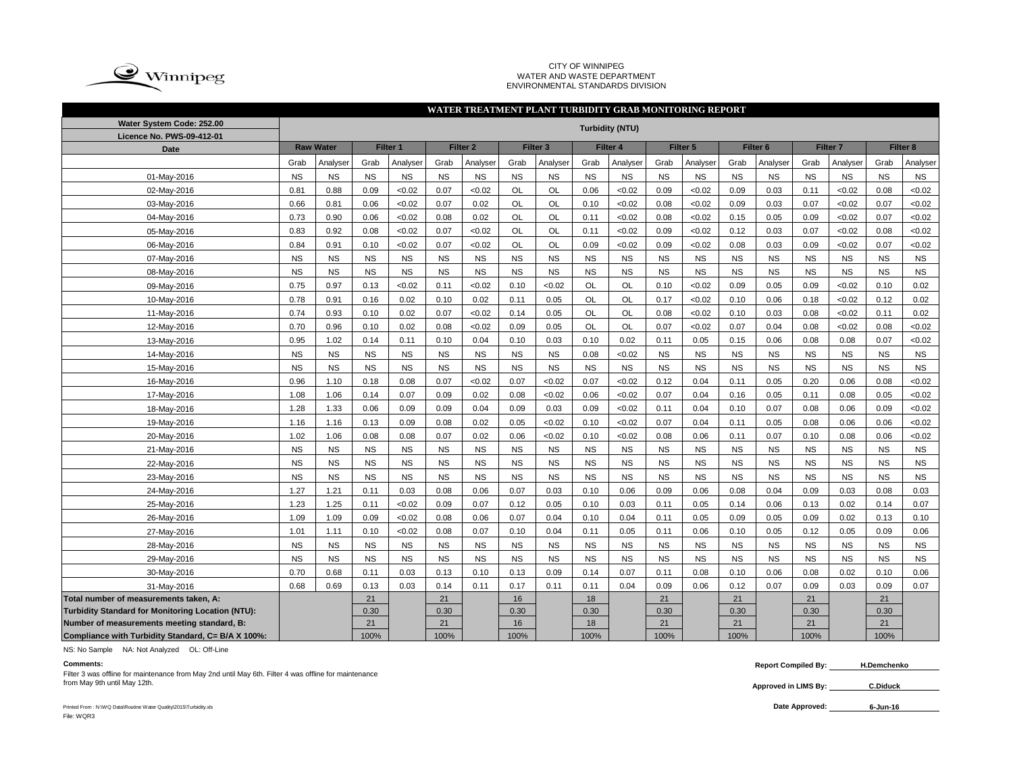

#### CITY OF WINNIPEG WATER AND WASTE DEPARTMENT ENVIRONMENTAL STANDARDS DIVISION

|                                                    |           |                              |           |           |                                            | WATER TREATMENT PLANT TURBIDITY GRAB MONITORING REPORT |           |           |                      |                        |           |           |                     |           |                     |             |                     |           |  |
|----------------------------------------------------|-----------|------------------------------|-----------|-----------|--------------------------------------------|--------------------------------------------------------|-----------|-----------|----------------------|------------------------|-----------|-----------|---------------------|-----------|---------------------|-------------|---------------------|-----------|--|
| Water System Code: 252.00                          |           |                              |           |           |                                            |                                                        |           |           |                      | <b>Turbidity (NTU)</b> |           |           |                     |           |                     |             |                     |           |  |
| Licence No. PWS-09-412-01                          |           |                              |           |           |                                            |                                                        |           |           |                      |                        |           |           |                     |           |                     |             |                     |           |  |
| <b>Date</b>                                        |           | <b>Raw Water</b><br>Filter 1 |           |           | Filter <sub>2</sub><br>Filter <sub>3</sub> |                                                        |           |           | Filter 5<br>Filter 4 |                        |           |           | Filter <sub>6</sub> |           | Filter <sub>7</sub> |             | Filter <sub>8</sub> |           |  |
|                                                    | Grab      | Analyser                     | Grab      | Analyser  | Grab                                       | Analyser                                               | Grab      | Analyser  | Grab                 | Analyser               | Grab      | Analyser  | Grab                | Analyser  | Grab                | Analyser    | Grab                | Analyser  |  |
| 01-May-2016                                        | <b>NS</b> | <b>NS</b>                    | <b>NS</b> | <b>NS</b> | <b>NS</b>                                  | <b>NS</b>                                              | <b>NS</b> | <b>NS</b> | <b>NS</b>            | <b>NS</b>              | <b>NS</b> | <b>NS</b> | <b>NS</b>           | <b>NS</b> | <b>NS</b>           | $_{\rm NS}$ | <b>NS</b>           | <b>NS</b> |  |
| 02-May-2016                                        | 0.81      | 0.88                         | 0.09      | <0.02     | 0.07                                       | <0.02                                                  | <b>OL</b> | OL        | 0.06                 | <0.02                  | 0.09      | <0.02     | 0.09                | 0.03      | 0.11                | < 0.02      | 0.08                | <0.02     |  |
| 03-May-2016                                        | 0.66      | 0.81                         | 0.06      | < 0.02    | 0.07                                       | 0.02                                                   | <b>OL</b> | OL        | 0.10                 | < 0.02                 | 0.08      | <0.02     | 0.09                | 0.03      | 0.07                | < 0.02      | 0.07                | < 0.02    |  |
| 04-May-2016                                        | 0.73      | 0.90                         | 0.06      | <0.02     | 0.08                                       | 0.02                                                   | OL        | OL        | 0.11                 | <0.02                  | 0.08      | <0.02     | 0.15                | 0.05      | 0.09                | <0.02       | 0.07                | <0.02     |  |
| 05-May-2016                                        | 0.83      | 0.92                         | 0.08      | <0.02     | 0.07                                       | <0.02                                                  | <b>OL</b> | OL        | 0.11                 | <0.02                  | 0.09      | <0.02     | 0.12                | 0.03      | 0.07                | <0.02       | 0.08                | < 0.02    |  |
| 06-May-2016                                        | 0.84      | 0.91                         | 0.10      | <0.02     | 0.07                                       | <0.02                                                  | <b>OL</b> | OL        | 0.09                 | <0.02                  | 0.09      | <0.02     | 0.08                | 0.03      | 0.09                | <0.02       | 0.07                | <0.02     |  |
| 07-May-2016                                        | <b>NS</b> | <b>NS</b>                    | <b>NS</b> | <b>NS</b> | <b>NS</b>                                  | <b>NS</b>                                              | <b>NS</b> | <b>NS</b> | <b>NS</b>            | <b>NS</b>              | <b>NS</b> | <b>NS</b> | <b>NS</b>           | <b>NS</b> | <b>NS</b>           | <b>NS</b>   | <b>NS</b>           | <b>NS</b> |  |
| 08-May-2016                                        | <b>NS</b> | <b>NS</b>                    | <b>NS</b> | <b>NS</b> | <b>NS</b>                                  | <b>NS</b>                                              | <b>NS</b> | <b>NS</b> | <b>NS</b>            | <b>NS</b>              | <b>NS</b> | <b>NS</b> | <b>NS</b>           | <b>NS</b> | <b>NS</b>           | <b>NS</b>   | <b>NS</b>           | <b>NS</b> |  |
| 09-May-2016                                        | 0.75      | 0.97                         | 0.13      | <0.02     | 0.11                                       | <0.02                                                  | 0.10      | <0.02     | <b>OL</b>            | OL                     | 0.10      | <0.02     | 0.09                | 0.05      | 0.09                | <0.02       | 0.10                | 0.02      |  |
| 10-May-2016                                        | 0.78      | 0.91                         | 0.16      | 0.02      | 0.10                                       | 0.02                                                   | 0.11      | 0.05      | <b>OL</b>            | OL                     | 0.17      | <0.02     | 0.10                | 0.06      | 0.18                | < 0.02      | 0.12                | 0.02      |  |
| 11-May-2016                                        | 0.74      | 0.93                         | 0.10      | 0.02      | 0.07                                       | <0.02                                                  | 0.14      | 0.05      | <b>OL</b>            | OL                     | 0.08      | <0.02     | 0.10                | 0.03      | 0.08                | <0.02       | 0.11                | 0.02      |  |
| 12-May-2016                                        | 0.70      | 0.96                         | 0.10      | 0.02      | 0.08                                       | < 0.02                                                 | 0.09      | 0.05      | OL                   | OL                     | 0.07      | <0.02     | 0.07                | 0.04      | 0.08                | < 0.02      | 0.08                | < 0.02    |  |
| 13-May-2016                                        | 0.95      | 1.02                         | 0.14      | 0.11      | 0.10                                       | 0.04                                                   | 0.10      | 0.03      | 0.10                 | 0.02                   | 0.11      | 0.05      | 0.15                | 0.06      | 0.08                | 0.08        | 0.07                | < 0.02    |  |
| 14-May-2016                                        | <b>NS</b> | <b>NS</b>                    | <b>NS</b> | <b>NS</b> | <b>NS</b>                                  | <b>NS</b>                                              | <b>NS</b> | <b>NS</b> | 0.08                 | < 0.02                 | <b>NS</b> | <b>NS</b> | <b>NS</b>           | <b>NS</b> | <b>NS</b>           | <b>NS</b>   | <b>NS</b>           | <b>NS</b> |  |
| 15-May-2016                                        | NS        | <b>NS</b>                    | <b>NS</b> | <b>NS</b> | <b>NS</b>                                  | <b>NS</b>                                              | <b>NS</b> | <b>NS</b> | <b>NS</b>            | <b>NS</b>              | <b>NS</b> | <b>NS</b> | <b>NS</b>           | <b>NS</b> | NS                  | <b>NS</b>   | <b>NS</b>           | <b>NS</b> |  |
| 16-May-2016                                        | 0.96      | 1.10                         | 0.18      | 0.08      | 0.07                                       | < 0.02                                                 | 0.07      | <0.02     | 0.07                 | < 0.02                 | 0.12      | 0.04      | 0.11                | 0.05      | 0.20                | 0.06        | 0.08                | <0.02     |  |
| 17-May-2016                                        | 1.08      | 1.06                         | 0.14      | 0.07      | 0.09                                       | 0.02                                                   | 0.08      | <0.02     | 0.06                 | < 0.02                 | 0.07      | 0.04      | 0.16                | 0.05      | 0.11                | 0.08        | 0.05                | <0.02     |  |
| 18-May-2016                                        | 1.28      | 1.33                         | 0.06      | 0.09      | 0.09                                       | 0.04                                                   | 0.09      | 0.03      | 0.09                 | < 0.02                 | 0.11      | 0.04      | 0.10                | 0.07      | 0.08                | 0.06        | 0.09                | <0.02     |  |
| 19-May-2016                                        | 1.16      | 1.16                         | 0.13      | 0.09      | 0.08                                       | 0.02                                                   | 0.05      | <0.02     | 0.10                 | <0.02                  | 0.07      | 0.04      | 0.11                | 0.05      | 0.08                | 0.06        | 0.06                | <0.02     |  |
| 20-May-2016                                        | 1.02      | 1.06                         | 0.08      | 0.08      | 0.07                                       | 0.02                                                   | 0.06      | <0.02     | 0.10                 | <0.02                  | 0.08      | 0.06      | 0.11                | 0.07      | 0.10                | 0.08        | 0.06                | < 0.02    |  |
| 21-May-2016                                        | <b>NS</b> | <b>NS</b>                    | <b>NS</b> | <b>NS</b> | <b>NS</b>                                  | <b>NS</b>                                              | <b>NS</b> | <b>NS</b> | <b>NS</b>            | <b>NS</b>              | <b>NS</b> | <b>NS</b> | <b>NS</b>           | <b>NS</b> | NS                  | <b>NS</b>   | <b>NS</b>           | <b>NS</b> |  |
| 22-May-2016                                        | <b>NS</b> | <b>NS</b>                    | <b>NS</b> | <b>NS</b> | <b>NS</b>                                  | <b>NS</b>                                              | <b>NS</b> | <b>NS</b> | <b>NS</b>            | <b>NS</b>              | <b>NS</b> | <b>NS</b> | <b>NS</b>           | <b>NS</b> | <b>NS</b>           | <b>NS</b>   | <b>NS</b>           | <b>NS</b> |  |
| 23-May-2016                                        | <b>NS</b> | <b>NS</b>                    | <b>NS</b> | <b>NS</b> | <b>NS</b>                                  | <b>NS</b>                                              | <b>NS</b> | <b>NS</b> | <b>NS</b>            | <b>NS</b>              | <b>NS</b> | <b>NS</b> | <b>NS</b>           | <b>NS</b> | <b>NS</b>           | <b>NS</b>   | <b>NS</b>           | <b>NS</b> |  |
| 24-May-2016                                        | 1.27      | 1.21                         | 0.11      | 0.03      | 0.08                                       | 0.06                                                   | 0.07      | 0.03      | 0.10                 | 0.06                   | 0.09      | 0.06      | 0.08                | 0.04      | 0.09                | 0.03        | 0.08                | 0.03      |  |
| 25-May-2016                                        | 1.23      | 1.25                         | 0.11      | <0.02     | 0.09                                       | 0.07                                                   | 0.12      | 0.05      | 0.10                 | 0.03                   | 0.11      | 0.05      | 0.14                | 0.06      | 0.13                | 0.02        | 0.14                | 0.07      |  |
| 26-May-2016                                        | 1.09      | 1.09                         | 0.09      | <0.02     | 0.08                                       | 0.06                                                   | 0.07      | 0.04      | 0.10                 | 0.04                   | 0.11      | 0.05      | 0.09                | 0.05      | 0.09                | 0.02        | 0.13                | 0.10      |  |
| 27-May-2016                                        | 1.01      | 1.11                         | 0.10      | <0.02     | 0.08                                       | 0.07                                                   | 0.10      | 0.04      | 0.11                 | 0.05                   | 0.11      | 0.06      | 0.10                | 0.05      | 0.12                | 0.05        | 0.09                | 0.06      |  |
| 28-May-2016                                        | NS        | <b>NS</b>                    | <b>NS</b> | <b>NS</b> | <b>NS</b>                                  | <b>NS</b>                                              | NS        | <b>NS</b> | NS                   | <b>NS</b>              | <b>NS</b> | <b>NS</b> | <b>NS</b>           | <b>NS</b> | NS                  | <b>NS</b>   | <b>NS</b>           | <b>NS</b> |  |
| 29-May-2016                                        | <b>NS</b> | <b>NS</b>                    | <b>NS</b> | <b>NS</b> | <b>NS</b>                                  | <b>NS</b>                                              | <b>NS</b> | <b>NS</b> | <b>NS</b>            | <b>NS</b>              | <b>NS</b> | <b>NS</b> | <b>NS</b>           | <b>NS</b> | <b>NS</b>           | <b>NS</b>   | <b>NS</b>           | <b>NS</b> |  |
| 30-May-2016                                        | 0.70      | 0.68                         | 0.11      | 0.03      | 0.13                                       | 0.10                                                   | 0.13      | 0.09      | 0.14                 | 0.07                   | 0.11      | 0.08      | 0.10                | 0.06      | 0.08                | 0.02        | 0.10                | 0.06      |  |
| 31-May-2016                                        | 0.68      | 0.69                         | 0.13      | 0.03      | 0.14                                       | 0.11                                                   | 0.17      | 0.11      | 0.11                 | 0.04                   | 0.09      | 0.06      | 0.12                | 0.07      | 0.09                | 0.03        | 0.09                | 0.07      |  |
| Total number of measurements taken, A:             |           |                              | 21        |           | 21                                         |                                                        | 16        |           | 18                   |                        | 21        |           | 21                  |           | 21                  |             | 21                  |           |  |
| Turbidity Standard for Monitoring Location (NTU):  |           |                              | 0.30      |           | 0.30                                       |                                                        | 0.30      |           | 0.30                 |                        | 0.30      |           | 0.30                |           | 0.30                |             | 0.30                |           |  |
| Number of measurements meeting standard, B:        |           |                              | 21        |           | 21                                         |                                                        | 16        |           | 18                   |                        | 21        |           | 21                  |           | 21                  |             | 21                  |           |  |
| Compliance with Turbidity Standard, C= B/A X 100%: |           |                              | 100%      |           | 100%                                       |                                                        | 100%      |           | 100%                 |                        | 100%      |           | 100%                |           | 100%                |             | 100%                |           |  |

NS: No Sample NA: Not Analyzed OL: Off-Line

Filter 3 was offline for maintenance from May 2nd until May 6th. Filter 4 was offline for maintenance<br>from May 9th until May 12th. from May 9th until May 12th. **C.Diduck**

**Comments: Report Compiled By: H.Demchenko**

**Approved in LIMS By:**

Printed From : N:\WQ Data\Routine Water Quality\2015\Turbidity.xls **Date Approved:** File: WQR3

**6-Jun-16**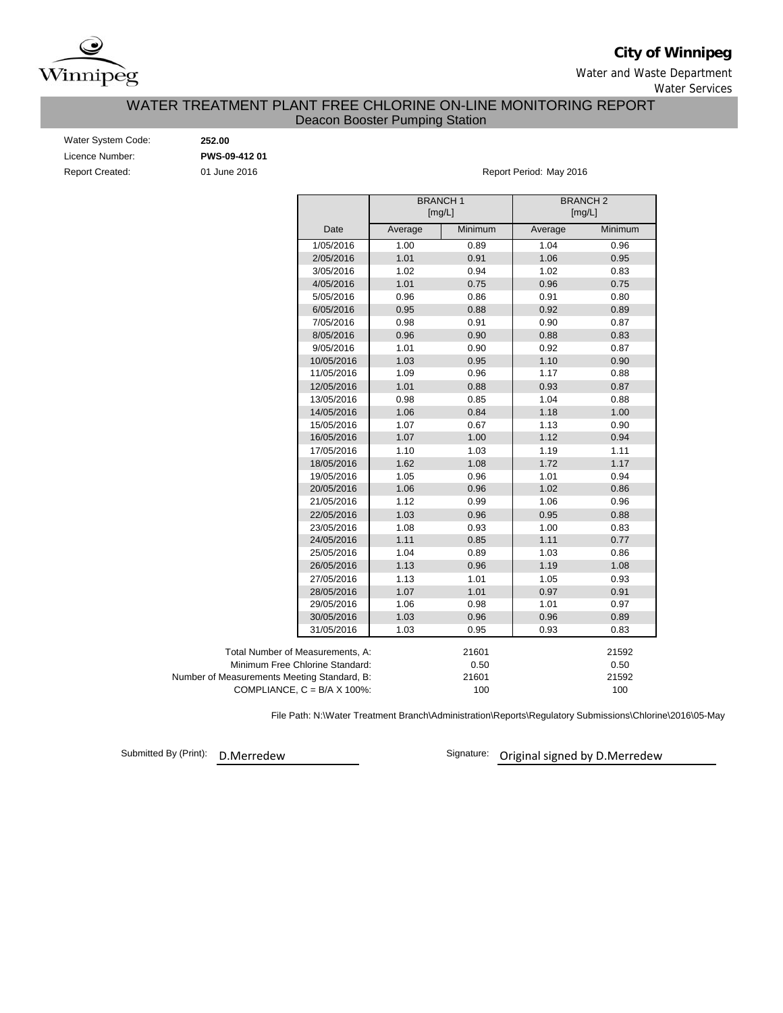

**City of Winnipeg**

Water and Waste Department Water Services

## Deacon Booster Pumping Station WATER TREATMENT PLANT FREE CHLORINE ON-LINE MONITORING REPORT

| Water System Code:     |
|------------------------|
| Licence Number:        |
| <b>Report Created:</b> |

Water System Code: **252.00** Licence Number: **PWS-09-412 01**

01 June 2016 **Report Period: May 2016** 

|                                             |         | <b>BRANCH1</b><br>[mg/L] | <b>BRANCH2</b><br>[mg/L] |         |
|---------------------------------------------|---------|--------------------------|--------------------------|---------|
| Date                                        | Average | Minimum                  | Average                  | Minimum |
| 1/05/2016                                   | 1.00    | 0.89                     | 1.04                     | 0.96    |
| 2/05/2016                                   | 1.01    | 0.91                     | 1.06                     | 0.95    |
| 3/05/2016                                   | 1.02    | 0.94                     | 1.02                     | 0.83    |
| 4/05/2016                                   | 1.01    | 0.75                     | 0.96                     | 0.75    |
| 5/05/2016                                   | 0.96    | 0.86                     | 0.91                     | 0.80    |
| 6/05/2016                                   | 0.95    | 0.88                     | 0.92                     | 0.89    |
| 7/05/2016                                   | 0.98    | 0.91                     | 0.90                     | 0.87    |
| 8/05/2016                                   | 0.96    | 0.90                     | 0.88                     | 0.83    |
| 9/05/2016                                   | 1.01    | 0.90                     | 0.92                     | 0.87    |
| 10/05/2016                                  | 1.03    | 0.95                     | 1.10                     | 0.90    |
| 11/05/2016                                  | 1.09    | 0.96                     | 1.17                     | 0.88    |
| 12/05/2016                                  | 1.01    | 0.88                     | 0.93                     | 0.87    |
| 13/05/2016                                  | 0.98    | 0.85                     | 1.04                     | 0.88    |
| 14/05/2016                                  | 1.06    | 0.84                     | 1.18                     | 1.00    |
| 15/05/2016                                  | 1.07    | 0.67                     | 1.13                     | 0.90    |
| 16/05/2016                                  | 1.07    | 1.00                     | 1.12                     | 0.94    |
| 17/05/2016                                  | 1.10    | 1.03                     | 1.19                     | 1.11    |
| 18/05/2016                                  | 1.62    | 1.08                     | 1.72                     | 1.17    |
| 19/05/2016                                  | 1.05    | 0.96                     | 1.01                     | 0.94    |
| 20/05/2016                                  | 1.06    | 0.96                     | 1.02                     | 0.86    |
| 21/05/2016                                  | 1.12    | 0.99                     | 1.06                     | 0.96    |
| 22/05/2016                                  | 1.03    | 0.96                     | 0.95                     | 0.88    |
| 23/05/2016                                  | 1.08    | 0.93                     | 1.00                     | 0.83    |
| 24/05/2016                                  | 1.11    | 0.85                     | 1.11                     | 0.77    |
| 25/05/2016                                  | 1.04    | 0.89                     | 1.03                     | 0.86    |
| 26/05/2016                                  | 1.13    | 0.96                     | 1.19                     | 1.08    |
| 27/05/2016                                  | 1.13    | 1.01                     | 1.05                     | 0.93    |
| 28/05/2016                                  | 1.07    | 1.01                     | 0.97                     | 0.91    |
| 29/05/2016                                  | 1.06    | 0.98                     | 1.01                     | 0.97    |
| 30/05/2016                                  | 1.03    | 0.96                     | 0.96                     | 0.89    |
| 31/05/2016                                  | 1.03    | 0.95                     | 0.93                     | 0.83    |
| Total Number of Measurements, A:            |         | 21601                    |                          | 21592   |
| Minimum Free Chlorine Standard:             |         | 0.50                     |                          | 0.50    |
| Number of Measurements Meeting Standard, B: |         | 21601                    |                          | 21592   |
| COMPLIANCE, $C = B/A \times 100\%$ :        |         | 100                      |                          | 100     |

File Path: N:\Water Treatment Branch\Administration\Reports\Regulatory Submissions\Chlorine\2016\05-May

Submitted By (Print): D.Merredew

Signature: Original signed by D.Merredew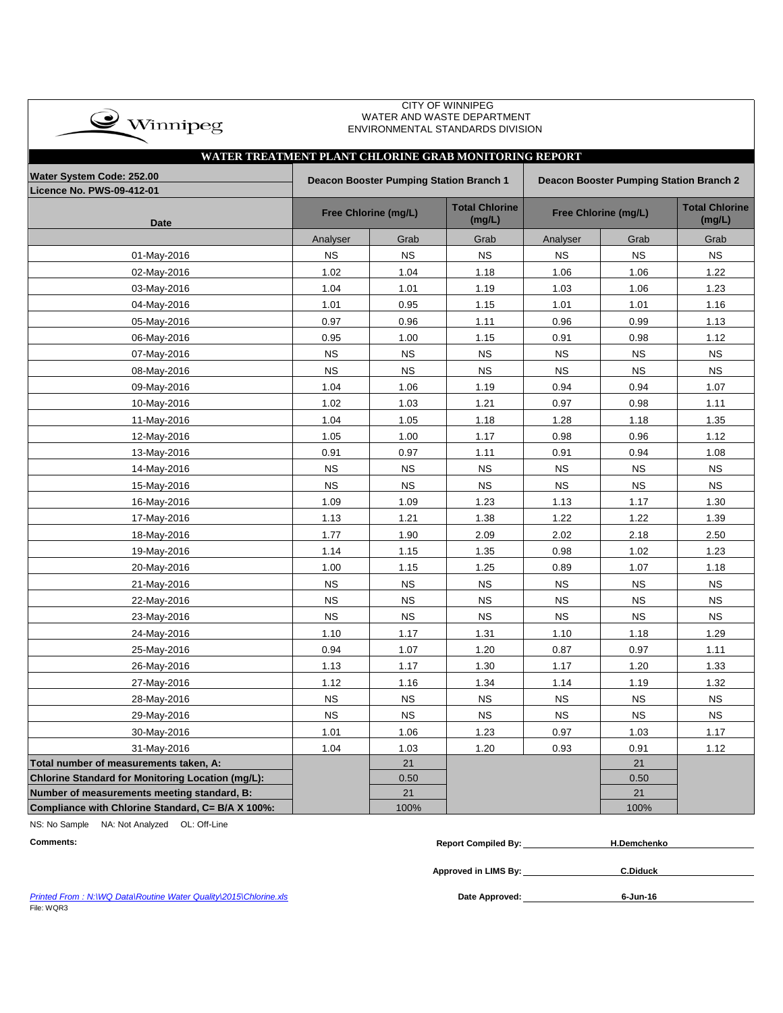

#### CITY OF WINNIPEG WATER AND WASTE DEPARTMENT ENVIRONMENTAL STANDARDS DIVISION

|                                                   | WATER TREATMENT PLANT CHLORINE GRAB MONITORING REPORT<br>Water System Code: 252.00<br>Deacon Booster Pumping Station Branch 1<br>Deacon Booster Pumping Station Branch 2 |                      |                                 |             |                      |                                 |  |  |  |  |  |  |  |  |
|---------------------------------------------------|--------------------------------------------------------------------------------------------------------------------------------------------------------------------------|----------------------|---------------------------------|-------------|----------------------|---------------------------------|--|--|--|--|--|--|--|--|
|                                                   |                                                                                                                                                                          |                      |                                 |             |                      |                                 |  |  |  |  |  |  |  |  |
| Licence No. PWS-09-412-01                         |                                                                                                                                                                          |                      |                                 |             |                      |                                 |  |  |  |  |  |  |  |  |
| <b>Date</b>                                       |                                                                                                                                                                          | Free Chlorine (mg/L) | <b>Total Chlorine</b><br>(mg/L) |             | Free Chlorine (mg/L) | <b>Total Chlorine</b><br>(mg/L) |  |  |  |  |  |  |  |  |
|                                                   | Analyser                                                                                                                                                                 | Grab                 | Grab                            | Analyser    | Grab                 | Grab                            |  |  |  |  |  |  |  |  |
| 01-May-2016                                       | <b>NS</b>                                                                                                                                                                | <b>NS</b>            | <b>NS</b>                       | <b>NS</b>   | <b>NS</b>            | <b>NS</b>                       |  |  |  |  |  |  |  |  |
| 02-May-2016                                       | 1.02                                                                                                                                                                     | 1.04                 | 1.18                            | 1.06        | 1.06                 | 1.22                            |  |  |  |  |  |  |  |  |
| 03-May-2016                                       | 1.04                                                                                                                                                                     | 1.01                 | 1.19                            | 1.03        | 1.06                 | 1.23                            |  |  |  |  |  |  |  |  |
| 04-May-2016                                       | 1.01                                                                                                                                                                     | 0.95                 | 1.15                            | 1.01        | 1.01                 | 1.16                            |  |  |  |  |  |  |  |  |
| 05-May-2016                                       | 0.97                                                                                                                                                                     | 0.96                 | 1.11                            | 0.96        | 0.99                 | 1.13                            |  |  |  |  |  |  |  |  |
| 06-May-2016                                       | 0.95                                                                                                                                                                     | 1.00                 | 1.15                            | 0.91        | 0.98                 | 1.12                            |  |  |  |  |  |  |  |  |
| 07-May-2016                                       | <b>NS</b>                                                                                                                                                                | <b>NS</b>            | <b>NS</b>                       | <b>NS</b>   | <b>NS</b>            | <b>NS</b>                       |  |  |  |  |  |  |  |  |
| 08-May-2016                                       | <b>NS</b>                                                                                                                                                                | <b>NS</b>            | $_{\rm NS}$                     | $_{\rm NS}$ | <b>NS</b>            | <b>NS</b>                       |  |  |  |  |  |  |  |  |
| 09-May-2016                                       | 1.04                                                                                                                                                                     | 1.06                 | 1.19                            | 0.94        | 0.94                 | 1.07                            |  |  |  |  |  |  |  |  |
| 10-May-2016                                       | 1.02                                                                                                                                                                     | 1.03                 | 1.21                            | 0.97        | 0.98                 | 1.11                            |  |  |  |  |  |  |  |  |
| 11-May-2016                                       | 1.04                                                                                                                                                                     | 1.05                 | 1.18                            | 1.28        | 1.18                 | 1.35                            |  |  |  |  |  |  |  |  |
| 12-May-2016                                       | 1.05                                                                                                                                                                     | 1.00                 | 1.17                            | 0.98        | 0.96                 | 1.12                            |  |  |  |  |  |  |  |  |
| 13-May-2016                                       | 0.91                                                                                                                                                                     | 0.97                 | 1.11                            | 0.91        | 0.94                 | 1.08                            |  |  |  |  |  |  |  |  |
| 14-May-2016                                       | <b>NS</b>                                                                                                                                                                | <b>NS</b>            | <b>NS</b>                       | <b>NS</b>   | <b>NS</b>            | <b>NS</b>                       |  |  |  |  |  |  |  |  |
| 15-May-2016                                       | <b>NS</b>                                                                                                                                                                | <b>NS</b>            | <b>NS</b>                       | <b>NS</b>   | <b>NS</b>            | <b>NS</b>                       |  |  |  |  |  |  |  |  |
| 16-May-2016                                       | 1.09                                                                                                                                                                     | 1.09                 | 1.23                            | 1.13        | 1.17                 | 1.30                            |  |  |  |  |  |  |  |  |
| 17-May-2016                                       | 1.13                                                                                                                                                                     | 1.21                 | 1.38                            | 1.22        | 1.22                 | 1.39                            |  |  |  |  |  |  |  |  |
| 18-May-2016                                       | 1.77                                                                                                                                                                     | 1.90                 | 2.09                            | 2.02        | 2.18                 | 2.50                            |  |  |  |  |  |  |  |  |
| 19-May-2016                                       | 1.14                                                                                                                                                                     | 1.15                 | 1.35                            | 0.98        | 1.02                 | 1.23                            |  |  |  |  |  |  |  |  |
| 20-May-2016                                       | 1.00                                                                                                                                                                     | 1.15                 | 1.25                            | 0.89        | 1.07                 | 1.18                            |  |  |  |  |  |  |  |  |
| 21-May-2016                                       | <b>NS</b>                                                                                                                                                                | <b>NS</b>            | $_{\rm NS}$                     | <b>NS</b>   | <b>NS</b>            | <b>NS</b>                       |  |  |  |  |  |  |  |  |
| 22-May-2016                                       | <b>NS</b>                                                                                                                                                                | <b>NS</b>            | <b>NS</b>                       | <b>NS</b>   | <b>NS</b>            | <b>NS</b>                       |  |  |  |  |  |  |  |  |
| 23-May-2016                                       | <b>NS</b>                                                                                                                                                                | <b>NS</b>            | <b>NS</b>                       | NS          | <b>NS</b>            | <b>NS</b>                       |  |  |  |  |  |  |  |  |
| 24-May-2016                                       | 1.10                                                                                                                                                                     | 1.17                 | 1.31                            | 1.10        | 1.18                 | 1.29                            |  |  |  |  |  |  |  |  |
| 25-May-2016                                       | 0.94                                                                                                                                                                     | 1.07                 | 1.20                            | 0.87        | 0.97                 | 1.11                            |  |  |  |  |  |  |  |  |
| 26-May-2016                                       | 1.13                                                                                                                                                                     | 1.17                 | 1.30                            | 1.17        | 1.20                 | 1.33                            |  |  |  |  |  |  |  |  |
| 27-May-2016                                       | 1.12                                                                                                                                                                     | 1.16                 | 1.34                            | 1.14        | 1.19                 | 1.32                            |  |  |  |  |  |  |  |  |
| 28-May-2016                                       | <b>NS</b>                                                                                                                                                                | <b>NS</b>            | <b>NS</b>                       | <b>NS</b>   | <b>NS</b>            | <b>NS</b>                       |  |  |  |  |  |  |  |  |
| 29-May-2016                                       | <b>NS</b>                                                                                                                                                                | <b>NS</b>            | <b>NS</b>                       | <b>NS</b>   | <b>NS</b>            | <b>NS</b>                       |  |  |  |  |  |  |  |  |
| 30-May-2016                                       | 1.01                                                                                                                                                                     | 1.06                 | 1.23                            | 0.97        | 1.03                 | 1.17                            |  |  |  |  |  |  |  |  |
| 31-May-2016                                       | 1.04                                                                                                                                                                     | 1.03                 | 1.20                            | 0.93        | 0.91                 | 1.12                            |  |  |  |  |  |  |  |  |
| Total number of measurements taken, A:            |                                                                                                                                                                          | 21                   |                                 |             | 21                   |                                 |  |  |  |  |  |  |  |  |
| Chlorine Standard for Monitoring Location (mg/L): |                                                                                                                                                                          | 0.50                 |                                 |             | 0.50                 |                                 |  |  |  |  |  |  |  |  |
| Number of measurements meeting standard, B:       |                                                                                                                                                                          | 21                   |                                 |             | 21                   |                                 |  |  |  |  |  |  |  |  |
| Compliance with Chlorine Standard, C= B/A X 100%: |                                                                                                                                                                          | 100%                 |                                 |             | 100%                 |                                 |  |  |  |  |  |  |  |  |

NS: No Sample NA: Not Analyzed OL: Off-Line

| <b>Comments:</b> | <b>Report Compiled By:</b> | . 1.Demchenko |
|------------------|----------------------------|---------------|
|                  |                            |               |

**Approved in LIMS By: C.Diduck**

**Printed From : N:\WQ Data\Routine Water Quality\2015\Chlorine.xls** File: WQR3

Date Approved: 6-Jun-16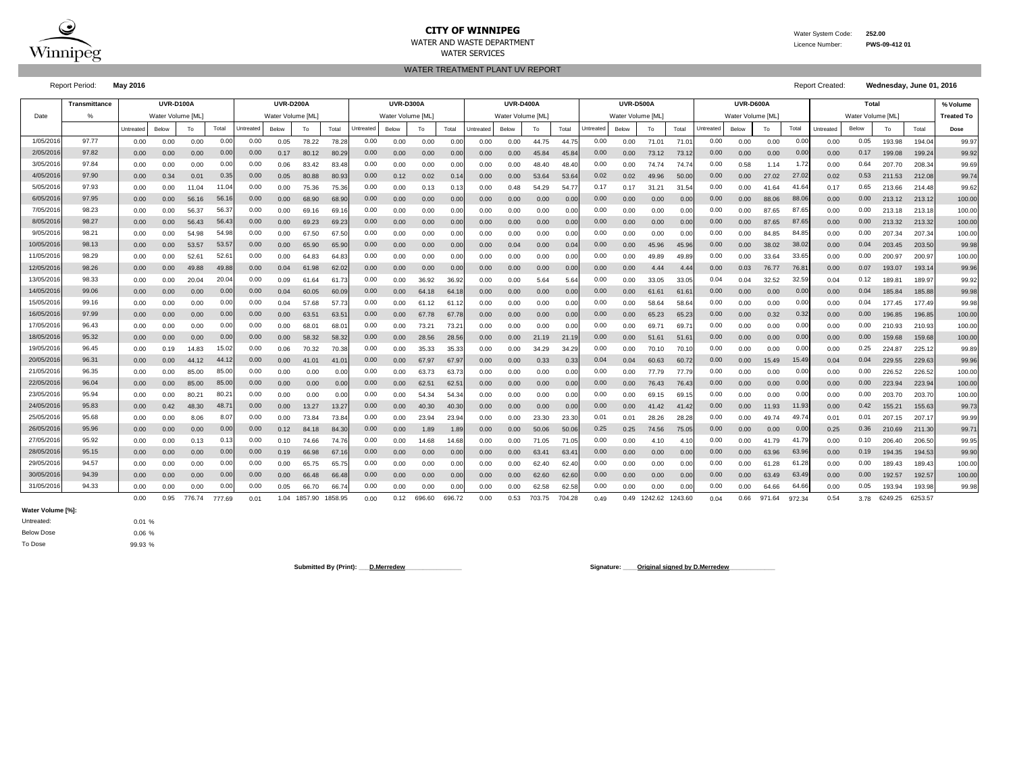

# **CITY OF WINNIPEG** WATER WATER WATER System Code: 252.00

WATER AND WASTE DEPARTMENT Licence Number: **PWS-09-412 01**

WATER TREATMENT PLANT UV REPORT WATER SERVICES

Report Period: **May 2016** Report Created: **Wednesday, June 01, 2016**

|           | <b>Transmittance</b> |           | <b>UVR-D100A</b> |                |        |           | <b>UVR-D200A</b>  |         |         |           | <b>UVR-D300A</b> |        |                |           | <b>UVR-D400A</b>  |        |        |           | <b>UVR-D500A</b>  |         |         |           | UVR-D600A         |        |        |           | % Volume          |                 |         |                   |
|-----------|----------------------|-----------|------------------|----------------|--------|-----------|-------------------|---------|---------|-----------|------------------|--------|----------------|-----------|-------------------|--------|--------|-----------|-------------------|---------|---------|-----------|-------------------|--------|--------|-----------|-------------------|-----------------|---------|-------------------|
| Date      | %                    |           | Water Volume IML |                |        |           | Water Volume [ML] |         |         |           | Water Volume IML |        |                |           | Water Volume [ML] |        |        |           | Water Volume [ML] |         |         |           | Water Volume [ML] |        |        |           | Water Volume [ML] |                 |         | <b>Treated To</b> |
|           |                      | Untreated | Below            | To             | Total  | Untreated | Below             | To      | Total   | Untreated | Below            | To     | Total          | Untreated | Below             | To     | Total  | Untreated | Below             | To      | Total   | Untreated | Below             | To     | Total  | Untreated | Below             | To              | Total   | Dose              |
| 1/05/201  | 97.77                | 0.00      | 0.00             | 0.00           | 0.00   | 0.00      | 0.05              | 78.22   | 78.2    | 0.00      | 0.00             | 0.00   | 0.01           | 0.00      | 0.00              | 44.75  | 44.7   | 0.00      | 0.00              | 71.01   | 71.0    | 0.00      | 0.00              | 0.00   | 0.00   | 0.00      | 0.05              | 193.98          | 194.04  | 99.97             |
| 2/05/201  | 97.82                | 0.00      | 0.00             | 0.00           | 0.00   | 0.00      | 0.17              | 80.12   | 80.2    | 0.00      | 0.00             | 0.00   | 0.00           | 0.00      | 0.00              | 45.84  | 45.8   | 0.00      | 0.00              | 73.12   | 73.1    | 0.00      | 0.00              | 0.00   | 0.00   | 0.00      | 0.17              | 199.08          | 199.24  | 99.92             |
| 3/05/201  | 97.84                | 0.00      | 0.00             | 0.00           | 0.00   | 0.00      | 0.06              | 83.42   | 83.48   | 0.00      | 0.00             | 0.00   | 0.00           | 0.00      | 0.00              | 48.40  | 48.4   | 0.00      | 0.00              | 74.74   | 74.7    | 0.00      | 0.58              | 1.14   | 1.7    | 0.00      | 0.64              | 207.70          | 208.34  | 99.69             |
| 4/05/201  | 97.90                | 0.00      | 0.34             | 0.01           | 0.35   | 0.00      | 0.05              | 80.88   | 80.93   | 0.00      | 0.12             | 0.02   | 0.14           | 0.00      | 0.00              | 53.64  | 53.64  | 0.02      | 0.02              | 49.96   | 50.0    | 0.00      | 0.00              | 27.02  | 27.0   | 0.02      | 0.53              | 211.53          | 212.08  | 99.74             |
| 5/05/201  | 97.93                | 0.00      | 0.00             | 11.04          | 11.04  | 0.00      | 0.00              | 75.36   | 75.36   | 0.00      | 0.00             | 0.13   | 0.1            | 0.00      | 0.48              | 54.29  | 54.7   | 0.17      | 0.17              | 31.21   | 31.54   | 0.00      | 0.00              | 41.64  | 41.64  | 0.17      | 0.65              | 213.66          | 214.48  | 99.62             |
| 6/05/201  | 97.95                | 0.00      | 0.00             | 56.16          | 56.1   | 0.00      | 0.00              | 68.90   | 68.90   | 0.00      | 0.00             | 0.00   | 0.00           | 0.00      | 0.00              | 0.00   | 0.00   | 0.00      | 0.00              | 0.00    | 0.00    | 0.00      | 0.00              | 88.06  | 88.06  | 0.00      | 0.00              | 213.12          | 213.12  | 100.00            |
| 7/05/201  | 98.23                | 0.00      | 0.00             | 56.37          | 56.3   | 0.00      | 0.00              | 69.16   | 69.1    | 0.00      | 0.00             | 0.00   | 0.00           | 0.00      | 0.00              | 0.00   | 0.00   | 0.00      | 0.00              | 0.00    | 0.00    | 0.00      | 0.00              | 87.65  | 87.65  | 0.00      | 0.00              | 213.18          | 213.18  | 100.00            |
| 8/05/201  | 98.27                | 0.00      | 0.00             | 56.43          | 56.4   | 0.00      | 0.00              | 69.23   | 69.2    | 0.00      | 0.00             | 0.00   | 0.00           | 0.00      | 0.00              | 0.00   | 0.00   | 0.00      | 0.00              | 0.00    | 0.00    | 0.00      | 0.00              | 87.65  | 87.6   | 0.00      | 0.00              | 213.32          | 213.32  | 100.00            |
| 9/05/201  | 98.21                | 0.00      | 0.00             | 54.98          | 54.98  | 0.00      | 0.00              | 67.50   | 67.5    | 0.00      | 0.00             | 0.00   | 0.00           | 0.00      | 0.00              | 0.00   | 0.00   | 0.00      | 0.00              | 0.00    | 0.00    | 0.00      | 0.00              | 84.85  | 84.8   | 0.00      | 0.00              | 207.34          | 207.34  | 100.00            |
| 10/05/201 | 98.13                | 0.00      | 0.00             | 53.57          | 53.5   | 0.00      | 0.00              | 65.90   | 65.90   | 0.00      | 0.00             | 0.00   | 0.00           | 0.00      | 0.04              | 0.00   | 0.04   | 0.00      | 0.00              | 45.96   | 45.9    | 0.00      | 0.00              | 38.02  | 38.0   | 0.00      | 0.04              | 203.45          | 203.50  | 99.98             |
| 11/05/201 | 98.29                | 0.00      | 0.00             | 52.6           | 52.6   | 0.00      | 0.00              | 64.83   | 64.83   | 0.00      | 0.00             | 0.00   | 0.01           | 0.00      | 0.00              | 0.00   | 0.00   | 0.00      | 0.00              | 49.89   | 49.8    | 0.00      | 0.00              | 33.64  | 33.6   | 0.00      | 0.00              | 200.97          | 200.97  | 100.00            |
| 12/05/201 | 98.26                | 0.00      | 0.00             | 49.88          | 49.8   | 0.00      | 0.04              | 61.98   | 62.0    | 0.00      | 0.00             | 0.00   | 0.01           | 0.00      | 0.00              | 0.00   | 0.00   | 0.00      | 0.00              | 4.44    | 4.44    | 0.00      | 0.03              | 76.77  | 76.8   | 0.00      | 0.07              | 193.07          | 193.1   | 99.96             |
| 13/05/201 | 98.33                | 0.00      | 0.00             | 20.04          | 20.0   | 0.00      | 0.09              | 61.64   | 61.7    | 0.00      | 0.00             | 36.92  | 36.9           | 0.00      | 0.00              | 5.64   | 5.64   | 0.00      | 0.00              | 33.05   | 33.0    | 0.04      | 0.04              | 32.52  | 32.5   | 0.04      | 0.12              | $189.8^{\circ}$ | 189.97  | 99.92             |
| 14/05/201 | 99.06                | 0.00      | 0.00             | 0.00           | 0.0(   | 0.00      | 0.04              | 60.05   | 60.0    | 0.00      | 0.00             | 64.18  | 64.1           | 0.00      | 0.00              | 0.00   | 0.00   | 0.00      | 0.00              | 61.61   | 61.6    | 0.00      | 0.00              | 0.00   | 0.0    | 0.00      | 0.04              | 185.84          | 185.88  | 99.98             |
| 15/05/201 | 99.16                | 0.00      | 0.00             | 0.00           | 0.00   | 0.00      | 0.04              | 57.68   | 57.7    | 0.00      | 0.00             | 61.12  | 61.1           | 0.00      | 0.00              | 0.00   | 0.00   | 0.00      | 0.00              | 58.64   | 58.6    | 0.00      | 0.00              | 0.00   | 0.00   | 0.00      | 0.04              | 177.45          | 177.49  | 99.98             |
| 16/05/201 | 97.99                | 0.00      | 0.00             | 0.00           | 0.00   | 0.00      | 0.00              | 63.51   | 63.5    | 0.00      | 0.00             | 67.78  | 67.7           | 0.00      | 0.00              | 0.00   | 0.00   | 0.00      | 0.00              | 65.23   | 65.2    | 0.00      | 0.00              | 0.32   | 0.32   | 0.00      | 0.00              | 196.85          | 196.85  | 100.00            |
| 17/05/201 | 96.43                | 0.00      | 0.00             | 0.00           | 0.00   | 0.00      | 0.00              | 68.01   | 68.0    | 0.00      | 0.00             | 73.21  | $73.2^{\circ}$ | 0.00      | 0.00              | 0.00   | 0.00   | 0.00      | 0.00              | 69.7    | 69.7    | 0.00      | 0.00              | 0.00   | 0.00   | 0.00      | 0.00              | 210.93          | 210.93  | 100.00            |
| 18/05/201 | 95.32                | 0.00      | 0.00             | 0.00           | 0.00   | 0.00      | 0.00              | 58.32   | 58.3    | 0.00      | 0.00             | 28.56  | 28.56          | 0.00      | 0.00              | 21.19  | 21.1   | 0.00      | 0.00              | 51.61   | 51.6    | 0.00      | 0.00              | 0.00   | 0.00   | 0.00      | 0.00              | 159.68          | 159.68  | 100.00            |
| 19/05/201 | 96.45                | 0.00      | 0.19             | 14.83          | 15.02  | 0.00      | 0.06              | 70.32   | 70.38   | 0.00      | 0.00             | 35.33  | 35.3           | 0.00      | 0.00              | 34.29  | 34.29  | 0.00      | 0.00              | 70.10   | 70.1    | 0.00      | 0.00              | 0.00   | 0.00   | 0.00      | 0.25              | 224.87          | 225.12  | 99.89             |
| 20/05/201 | 96.31                | 0.00      | 0.00             | 44.12          | 44.1   | 0.00      | 0.00              | 41.01   | 41.0    | 0.00      | 0.00             | 67.97  | 67.9           | 0.00      | 0.00              | 0.33   | 0.33   | 0.04      | 0.04              | 60.63   | 60.72   | 0.00      | 0.00              | 15.49  | 15.49  | 0.04      | 0.04              | 229.55          | 229.63  | 99.96             |
| 21/05/201 | 96.35                | 0.00      | 0.00             | 85.00          | 85.00  | 0.00      | 0.00              | 0.00    | 0.00    | 0.00      | 0.00             | 63.73  | 63.7           | 0.00      | 0.00              | 0.00   | 0.00   | 0.00      | 0.00              | 77.79   | 77.7    | 0.00      | 0.00              | 0.00   | 0.00   | 0.00      | 0.00              | 226.52          | 226.52  | 100.00            |
| 22/05/201 | 96.04                | 0.00      | 0.00             | 85.00          | 85.0   | 0.00      | 0.00              | 0.00    | 0.00    | 0.00      | 0.00             | 62.51  | 62.5           | 0.00      | 0.00              | 0.00   | 0.00   | 0.00      | 0.00              | 76.43   | 76.43   | 0.00      | 0.00              | 0.00   | 0.00   | 0.00      | 0.00              | 223.94          | 223.94  | 100.00            |
| 23/05/201 | 95.94                | 0.00      | 0.00             | $80.2^{\circ}$ | 80.2   | 0.00      | 0.00              | 0.00    | 0.00    | 0.00      | 0.00             | 54.34  | 54.3           | 0.00      | 0.00              | 0.00   | 0.00   | 0.00      | 0.00              | 69.15   | 69.1    | 0.00      | 0.00              | 0.00   | 0.00   | 0.00      | 0.00              | 203.70          | 203.70  | 100.00            |
| 24/05/201 | 95.83                | 0.00      | 0.42             | 48.30          | 48.7   | 0.00      | 0.00              | 13.27   | 13.2    | 0.00      | 0.00             | 40.30  | 40.3           | 0.00      | 0.00              | 0.00   | 0.00   | 0.00      | 0.00              | 41.42   | 41.4    | 0.00      | 0.00              | 11.93  | 11.93  | 0.00      | 0.42              | 155.21          | 155.63  | 99.73             |
| 25/05/201 | 95.68                | 0.00      | 0.00             | 8.06           | 8.0    | 0.00      | 0.00              | 73.84   | 73.84   | 0.00      | 0.00             | 23.94  | 23.9           | 0.00      | 0.00              | 23.30  | 23.30  | 0.01      | 0.01              | 28.26   | 28.2    | 0.00      | 0.00              | 49.74  | 49.7   | 0.01      | 0.01              | 207.15          | 207.17  | 99.99             |
| 26/05/201 | 95.96                | 0.00      | 0.00             | 0.00           | 0.00   | 0.00      | 0.12              | 84.18   | 84.30   | 0.00      | 0.00             | 1.89   | 1.89           | 0.00      | 0.00              | 50.06  | 50.0   | 0.25      | 0.25              | 74.56   | 75.05   | 0.00      | 0.00              | 0.00   | 0.00   | 0.25      | 0.36              | 210.69          | 211.30  | 99.71             |
| 27/05/201 | 95.92                | 0.00      | 0.00             | 0.13           | 0.13   | 0.00      | 0.10              | 74.66   | 74.7    | 0.00      | 0.00             | 14.68  | 14.68          | 0.00      | 0.00              | 71.05  | 71.0   | 0.00      | 0.00              | 4.10    | 4.1(    | 0.00      | 0.00              | 41.79  | 41.7   | 0.00      | 0.10              | 206.40          | 206.50  | 99.95             |
| 28/05/201 | 95.15                | 0.00      | 0.00             | 0.00           | 0.00   | 0.00      | 0.19              | 66.98   | 67.1    | 0.00      | 0.00             | 0.00   | 0.00           | 0.00      | 0.00              | 63.41  | 63.4   | 0.00      | 0.00              | 0.00    | 0.00    | 0.00      | 0.00              | 63.96  | 63.96  | 0.00      | 0.19              | 194.35          | 194.53  | 99.90             |
| 29/05/201 | 94.57                | 0.00      | 0.00             | 0.00           | 0.00   | 0.00      | 0.00              | 65.75   | 65.7    | 0.00      | 0.00             | 0.00   | 0.00           | 0.00      | 0.00              | 62.40  | 62.4   | 0.00      | 0.00              | 0.00    | 0.00    | 0.00      | 0.00              | 61.28  | 61.2   | 0.00      | 0.00              | 189.43          | 189.43  | 100.00            |
| 30/05/201 | 94.39                | 0.00      | 0.00             | 0.00           | 0.00   | 0.00      | 0.00              | 66.48   | 66.4    | 0.00      | 0.00             | 0.00   | 0.00           | 0.00      | 0.00              | 62.60  | 62.6   | 0.00      | 0.00              | 0.00    | 0.00    | 0.00      | 0.00              | 63.49  | 63.4   | 0.00      | 0.00              | 192.57          | 192.57  | 100.00            |
| 31/05/201 | 94.33                | 0.00      | 0.00             | 0.00           | 0.00   | 0.00      | 0.05              | 66.70   | 66.7    | 0.00      | 0.00             | 0.00   | 0.01           | 0.00      | 0.00              | 62.58  | 62.58  | 0.00      | 0.00              | 0.00    | 0.00    | 0.00      | 0.00              | 64.66  | 64.6   | 0.00      | 0.05              | 193.94          | 193.98  | 99.98             |
|           |                      | 0.00      | 0.95             | 776.74         | 777.69 | 0.01      | 1.04              | 1857.90 | 1858.95 | 0.00      | 0.12             | 696.60 | 696.72         | 0.00      | 0.53              | 703.75 | 704.28 | 0.49      | 0.49              | 1242.62 | 1243.60 | 0.04      | 0.66              | 971.64 | 972.34 | 0.54      | 3.78              | 6249.25         | 6253.57 |                   |

**Water Volume [%]:**

99.93 % To Dose Below Dose Untreated:

0.01 % 0.06 %

Submitted By (Print): <u>D.Merredew</u> **Communication Communication Communication Communication Communication Communication Communication Communication Communication Communication Communication Communication Communication Comm**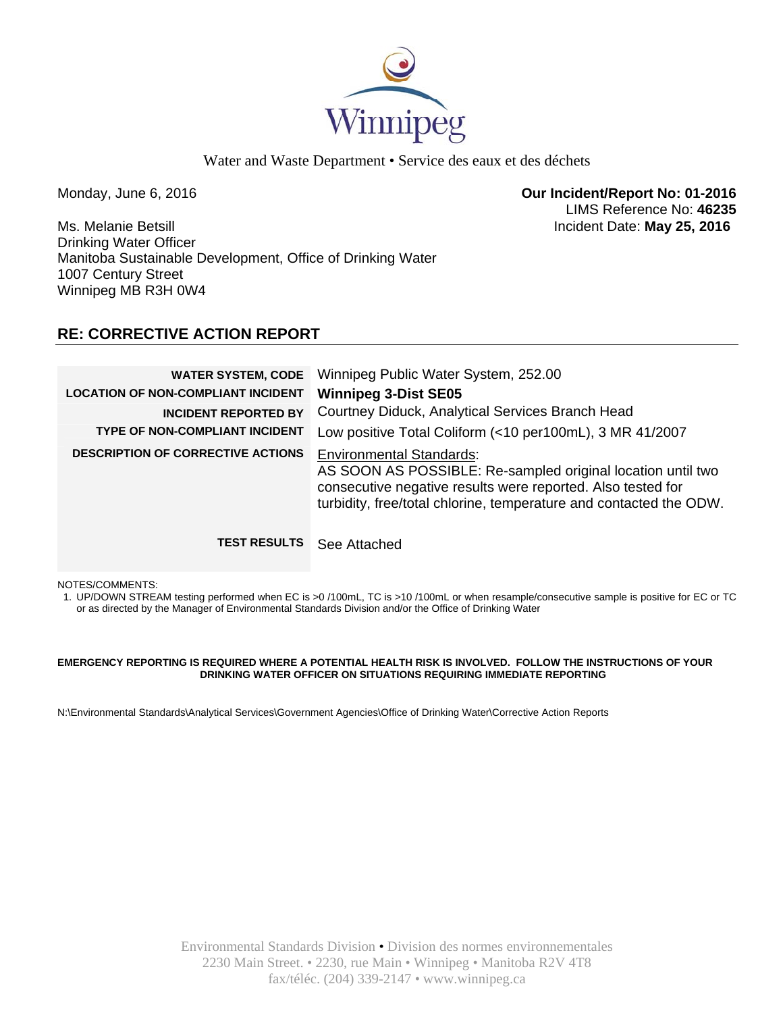

Water and Waste Department • Service des eaux et des déchets

Monday, June 6, 2016 **Our Incident/Report No: 01-2016**  LIMS Reference No: **46235**

Ms. Melanie Betsill Incident Date: **May 25, 2016**  Drinking Water Officer Manitoba Sustainable Development, Office of Drinking Water 1007 Century Street Winnipeg MB R3H 0W4

# **RE: CORRECTIVE ACTION REPORT**

| <b>WATER SYSTEM, CODE</b><br><b>LOCATION OF NON-COMPLIANT INCIDENT</b><br><b>INCIDENT REPORTED BY</b><br><b>TYPE OF NON-COMPLIANT INCIDENT</b> | Winnipeg Public Water System, 252.00<br><b>Winnipeg 3-Dist SE05</b><br>Courtney Diduck, Analytical Services Branch Head<br>Low positive Total Coliform (<10 per100mL), 3 MR 41/2007                                                 |
|------------------------------------------------------------------------------------------------------------------------------------------------|-------------------------------------------------------------------------------------------------------------------------------------------------------------------------------------------------------------------------------------|
| <b>DESCRIPTION OF CORRECTIVE ACTIONS</b>                                                                                                       | <b>Environmental Standards:</b><br>AS SOON AS POSSIBLE: Re-sampled original location until two<br>consecutive negative results were reported. Also tested for<br>turbidity, free/total chlorine, temperature and contacted the ODW. |
| <b>TEST RESULTS</b>                                                                                                                            | See Attached                                                                                                                                                                                                                        |

NOTES/COMMENTS:

1. UP/DOWN STREAM testing performed when EC is >0 /100mL, TC is >10 /100mL or when resample/consecutive sample is positive for EC or TC or as directed by the Manager of Environmental Standards Division and/or the Office of Drinking Water

#### **EMERGENCY REPORTING IS REQUIRED WHERE A POTENTIAL HEALTH RISK IS INVOLVED. FOLLOW THE INSTRUCTIONS OF YOUR DRINKING WATER OFFICER ON SITUATIONS REQUIRING IMMEDIATE REPORTING**

N:\Environmental Standards\Analytical Services\Government Agencies\Office of Drinking Water\Corrective Action Reports